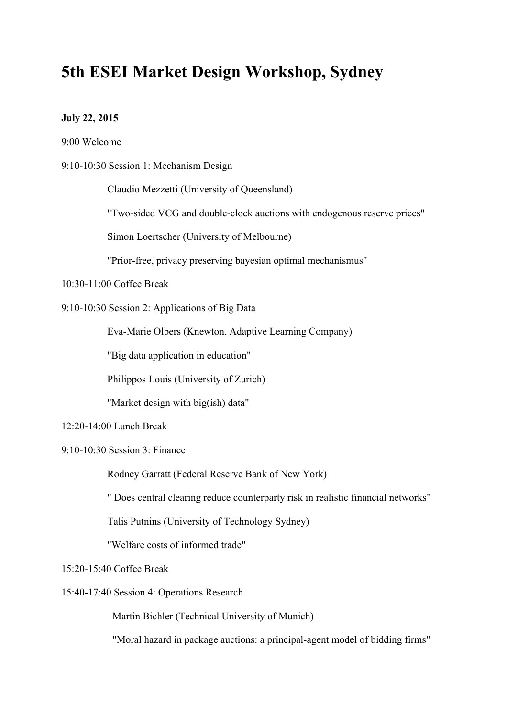# **5th ESEI Market Design Workshop, Sydney**

## **July 22, 2015**

9:00 Welcome

9:10-10:30 Session 1: Mechanism Design

Claudio Mezzetti (University of Queensland)

"Two-sided VCG and double-clock auctions with endogenous reserve prices"

Simon Loertscher (University of Melbourne)

"Prior-free, privacy preserving bayesian optimal mechanismus"

10:30-11:00 Coffee Break

9:10-10:30 Session 2: Applications of Big Data

Eva-Marie Olbers (Knewton, Adaptive Learning Company)

"Big data application in education"

Philippos Louis (University of Zurich)

"Market design with big(ish) data"

12:20-14:00 Lunch Break

9:10-10:30 Session 3: Finance

Rodney Garratt (Federal Reserve Bank of New York)

" Does central clearing reduce counterparty risk in realistic financial networks"

Talis Putnins (University of Technology Sydney)

"Welfare costs of informed trade"

15:20-15:40 Coffee Break

15:40-17:40 Session 4: Operations Research

Martin Bichler (Technical University of Munich)

"Moral hazard in package auctions: a principal-agent model of bidding firms"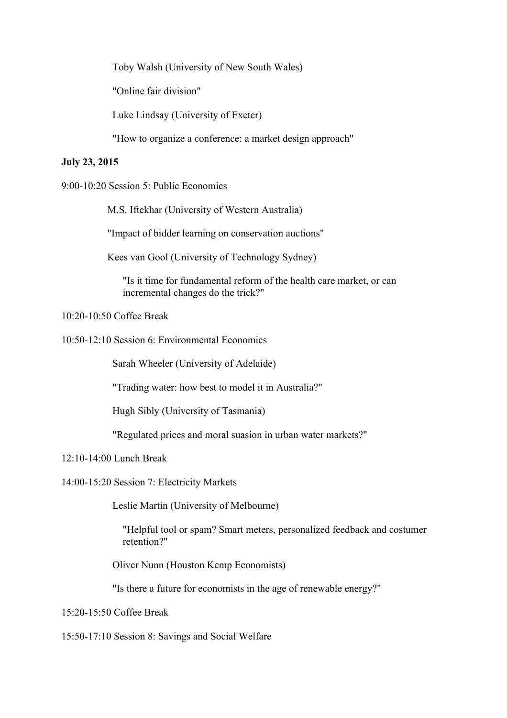Toby Walsh (University of New South Wales)

"Online fair division"

Luke Lindsay (University of Exeter)

"How to organize a conference: a market design approach"

#### **July 23, 2015**

9:00-10:20 Session 5: Public Economics

M.S. Iftekhar (University of Western Australia)

"Impact of bidder learning on conservation auctions"

Kees van Gool (University of Technology Sydney)

"Is it time for fundamental reform of the health care market, or can incremental changes do the trick?"

#### 10:20-10:50 Coffee Break

10:50-12:10 Session 6: Environmental Economics

Sarah Wheeler (University of Adelaide)

"Trading water: how best to model it in Australia?"

Hugh Sibly (University of Tasmania)

"Regulated prices and moral suasion in urban water markets?"

### 12:10-14:00 Lunch Break

14:00-15:20 Session 7: Electricity Markets

Leslie Martin (University of Melbourne)

"Helpful tool or spam? Smart meters, personalized feedback and costumer retention?"

Oliver Nunn (Houston Kemp Economists)

"Is there a future for economists in the age of renewable energy?"

15:20-15:50 Coffee Break

15:50-17:10 Session 8: Savings and Social Welfare